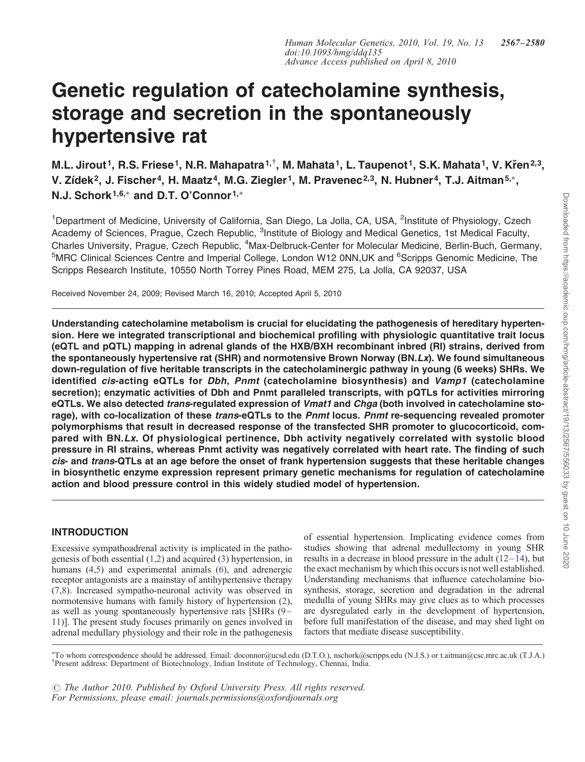# Genetic regulation of catecholamine synthesis, storage and secretion in the spontaneously hypertensive rat

M.L. Jirout<sup>1</sup>, R.S. Friese<sup>1</sup>, N.R. Mahapatra<sup>1,†</sup>, M. Mahata<sup>1</sup>, L. Taupenot<sup>1</sup>, S.K. Mahata<sup>1</sup>, V. Křen<sup>2,3</sup>, V. Zídek<sup>2</sup>, J. Fischer<sup>4</sup>, H. Maatz<sup>4</sup>, M.G. Ziegler<sup>1</sup>, M. Pravenec<sup>2,3</sup>, N. Hubner<sup>4</sup>, T.J. Aitman<sup>5,∗</sup>, N.J. Schork<sup>1,6,∗</sup> and D.T. O'Connor<sup>1,∗</sup>

<sup>1</sup>Department of Medicine, University of California, San Diego, La Jolla, CA, USA, <sup>2</sup>Institute of Physiology, Czech Academy of Sciences, Prague, Czech Republic, <sup>3</sup>Institute of Biology and Medical Genetics, 1st Medical Faculty, Charles University, Prague, Czech Republic, <sup>4</sup>Max-Delbruck-Center for Molecular Medicine, Berlin-Buch, Germany, <sup>5</sup>MRC Clinical Sciences Centre and Imperial College, London W12 0NN,UK and <sup>6</sup>Scripps Genomic Medicine, The Scripps Research Institute, 10550 North Torrey Pines Road, MEM 275, La Jolla, CA 92037, USA

Received November 24, 2009; Revised March 16, 2010; Accepted April 5, 2010

Understanding catecholamine metabolism is crucial for elucidating the pathogenesis of hereditary hypertension. Here we integrated transcriptional and biochemical profiling with physiologic quantitative trait locus (eQTL and pQTL) mapping in adrenal glands of the HXB/BXH recombinant inbred (RI) strains, derived from the spontaneously hypertensive rat (SHR) and normotensive Brown Norway (BN.Lx). We found simultaneous down-regulation of five heritable transcripts in the catecholaminergic pathway in young (6 weeks) SHRs. We identified cis-acting eQTLs for Dbh, Pnmt (catecholamine biosynthesis) and Vamp1 (catecholamine secretion); enzymatic activities of Dbh and Pnmt paralleled transcripts, with pQTLs for activities mirroring eQTLs. We also detected trans-regulated expression of Vmat1 and Chga (both involved in catecholamine storage), with co-localization of these trans-eQTLs to the Pnmt locus. Pnmt re-sequencing revealed promoter polymorphisms that result in decreased response of the transfected SHR promoter to glucocorticoid, compared with BN.Lx. Of physiological pertinence, Dbh activity negatively correlated with systolic blood pressure in RI strains, whereas Pnmt activity was negatively correlated with heart rate. The finding of such cis- and trans-QTLs at an age before the onset of frank hypertension suggests that these heritable changes in biosynthetic enzyme expression represent primary genetic mechanisms for regulation of catecholamine action and blood pressure control in this widely studied model of hypertension.

# INTRODUCTION

Excessive sympathoadrenal activity is implicated in the pathogenesis of both essential [\(1](#page-11-0),[2\)](#page-11-0) and acquired [\(3](#page-11-0)) hypertension, in humans [\(4](#page-11-0),[5](#page-11-0)) and experimental animals [\(6](#page-11-0)), and adrenergic receptor antagonists are a mainstay of antihypertensive therapy [\(7](#page-11-0),[8\)](#page-11-0). Increased sympatho-neuronal activity was observed in normotensive humans with family history of hypertension [\(2](#page-11-0)), as well as young spontaneously hypertensive rats [SHRs [\(9](#page-11-0)– [11\)](#page-11-0)]. The present study focuses primarily on genes involved in adrenal medullary physiology and their role in the pathogenesis

of essential hypertension. Implicating evidence comes from studies showing that adrenal medullectomy in young SHR results in a decrease in blood pressure in the adult  $(12-14)$  $(12-14)$  $(12-14)$ , but the exact mechanism by which this occurs is not well established. Understanding mechanisms that influence catecholamine biosynthesis, storage, secretion and degradation in the adrenal medulla of young SHRs may give clues as to which processes are dysregulated early in the development of hypertension, before full manifestation of the disease, and may shed light on factors that mediate disease susceptibility.

† Present address: Department of Biotechnology, Indian Institute of Technology, Chennai, India. ∗ To whom correspondence should be addressed. Email: doconnor@ucsd.edu (D.T.O.), nschork@scripps.edu (N.J.S.) or t.aitman@csc.mrc.ac.uk (T.J.A.)

 $\odot$  The Author 2010. Published by Oxford University Press. All rights reserved. For Permissions, please email: journals.permissions@oxfordjournals.org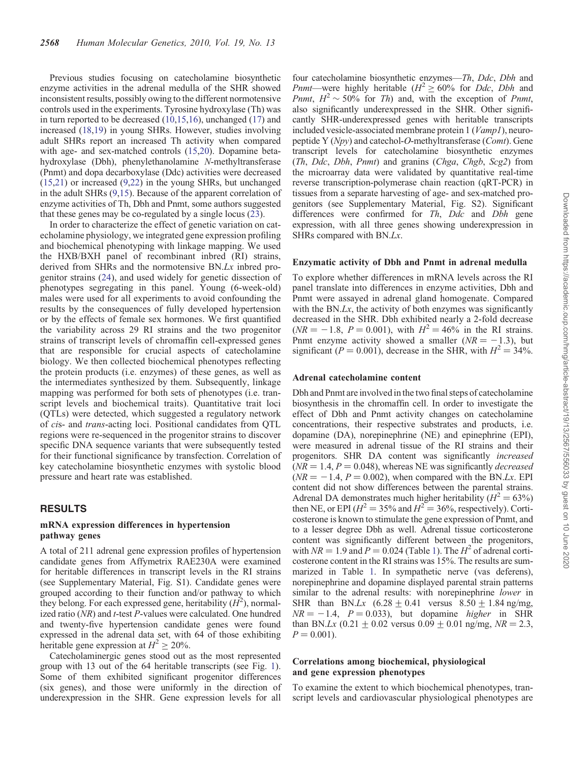Previous studies focusing on catecholamine biosynthetic enzyme activities in the adrenal medulla of the SHR showed inconsistent results, possibly owing to the different normotensive controls used in the experiments. Tyrosine hydroxylase (Th) was in turn reported to be decreased ([10,15,16](#page-11-0)), unchanged [\(17\)](#page-11-0) and increased [\(18](#page-11-0)[,19](#page-12-0)) in young SHRs. However, studies involving adult SHRs report an increased Th activity when compared with age- and sex-matched controls ([15,](#page-11-0)[20\)](#page-12-0). Dopamine betahydroxylase (Dbh), phenylethanolamine N-methyltransferase (Pnmt) and dopa decarboxylase (Ddc) activities were decreased [\(15](#page-11-0),[21](#page-12-0)) or increased [\(9](#page-11-0)[,22](#page-12-0)) in the young SHRs, but unchanged in the adult SHRs ([9,15\)](#page-11-0). Because of the apparent correlation of enzyme activities of Th, Dbh and Pnmt, some authors suggested that these genes may be co-regulated by a single locus [\(23\)](#page-12-0).

In order to characterize the effect of genetic variation on catecholamine physiology, we integrated gene expression profiling and biochemical phenotyping with linkage mapping. We used the HXB/BXH panel of recombinant inbred (RI) strains, derived from SHRs and the normotensive BN.Lx inbred progenitor strains [\(24](#page-12-0)), and used widely for genetic dissection of phenotypes segregating in this panel. Young (6-week-old) males were used for all experiments to avoid confounding the results by the consequences of fully developed hypertension or by the effects of female sex hormones. We first quantified the variability across 29 RI strains and the two progenitor strains of transcript levels of chromaffin cell-expressed genes that are responsible for crucial aspects of catecholamine biology. We then collected biochemical phenotypes reflecting the protein products (i.e. enzymes) of these genes, as well as the intermediates synthesized by them. Subsequently, linkage mapping was performed for both sets of phenotypes (i.e. transcript levels and biochemical traits). Quantitative trait loci (QTLs) were detected, which suggested a regulatory network of cis- and trans-acting loci. Positional candidates from QTL regions were re-sequenced in the progenitor strains to discover specific DNA sequence variants that were subsequently tested for their functional significance by transfection. Correlation of key catecholamine biosynthetic enzymes with systolic blood pressure and heart rate was established.

## RESULTS

## mRNA expression differences in hypertension pathway genes

A total of 211 adrenal gene expression profiles of hypertension candidate genes from Affymetrix RAE230A were examined for heritable differences in transcript levels in the RI strains (see [Supplementary Material, Fig. S1\)](http://hmg.oxfordjournals.org/cgi/content/full/ddq135/DC1). Candidate genes were grouped according to their function and/or pathway to which they belong. For each expressed gene, heritability  $(H<sup>2</sup>)$ , normalized ratio  $(NR)$  and *t*-test *P*-values were calculated. One hundred and twenty-five hypertension candidate genes were found expressed in the adrenal data set, with 64 of those exhibiting heritable gene expression at  $H^2 \ge 20\%$ .

Catecholaminergic genes stood out as the most represented group with 13 out of the 64 heritable transcripts (see Fig. [1](#page-2-0)). Some of them exhibited significant progenitor differences (six genes), and those were uniformly in the direction of underexpression in the SHR. Gene expression levels for all

four catecholamine biosynthetic enzymes—Th, Ddc, Dbh and *Pnmt*—were highly heritable ( $H^2 \ge 60\%$  for *Ddc*, *Dbh* and *Pnmt,*  $H^2 \sim 50\%$  for Th) and, with the exception of *Pnmt*, also significantly underexpressed in the SHR. Other significantly SHR-underexpressed genes with heritable transcripts included vesicle-associated membrane protein 1 (*Vamp1*), neuropeptide Y (Npy) and catechol-O-methyltransferase (Comt). Gene transcript levels for catecholamine biosynthetic enzymes (Th, Ddc, Dbh, Pnmt) and granins (Chga, Chgb, Scg2) from the microarray data were validated by quantitative real-time reverse transcription-polymerase chain reaction (qRT-PCR) in tissues from a separate harvesting of age- and sex-matched progenitors (see [Supplementary Material, Fig. S2\)](http://hmg.oxfordjournals.org/cgi/content/full/ddq135/DC1). Significant differences were confirmed for  $Th$ ,  $Ddc$  and  $Dbh$  gene expression, with all three genes showing underexpression in SHRs compared with BN.Lx.

## Enzymatic activity of Dbh and Pnmt in adrenal medulla

To explore whether differences in mRNA levels across the RI panel translate into differences in enzyme activities, Dbh and Pnmt were assayed in adrenal gland homogenate. Compared with the  $BN.Lx$ , the activity of both enzymes was significantly decreased in the SHR. Dbh exhibited nearly a 2-fold decrease  $(NR = -1.8, P = 0.001)$ , with  $H^2 = 46\%$  in the RI strains. Pnmt enzyme activity showed a smaller  $(NR = -1.3)$ , but significant ( $P = 0.001$ ), decrease in the SHR, with  $H^2 = 34\%$ .

#### Adrenal catecholamine content

Dbh and Pnmt are involved in the two final steps of catecholamine biosynthesis in the chromaffin cell. In order to investigate the effect of Dbh and Pnmt activity changes on catecholamine concentrations, their respective substrates and products, i.e. dopamine (DA), norepinephrine (NE) and epinephrine (EPI), were measured in adrenal tissue of the RI strains and their progenitors. SHR DA content was significantly increased  $(NR = 1.4, P = 0.048)$ , whereas NE was significantly *decreased*  $(NR = -1.4, P = 0.002)$ , when compared with the BN.Lx. EPI content did not show differences between the parental strains. Adrenal DA demonstrates much higher heritability ( $H^2 = 63\%$ ) then NE, or EPI ( $H^2 = 35\%$  and  $H^2 = 36\%$ , respectively). Corticosterone is known to stimulate the gene expression of Pnmt, and to a lesser degree Dbh as well. Adrenal tissue corticosterone content was significantly different between the progenitors, with  $NR = 1.9$  $NR = 1.9$  $NR = 1.9$  and  $P = 0.024$  (Table 1). The  $H^2$  of adrenal corticosterone content in the RI strains was 15%. The results are summarized in Table [1.](#page-3-0) In sympathetic nerve (vas deferens), norepinephrine and dopamine displayed parental strain patterns similar to the adrenal results: with norepinephrine lower in SHR than BN.Lx  $(6.28 \pm 0.41$  versus  $8.50 \pm 1.84$  ng/mg,  $NR = -1.4$ ,  $P = 0.033$ ), but dopamine *higher* in SHR than BN.Lx  $(0.21 + 0.02$  versus  $0.09 + 0.01$  ng/mg,  $NR = 2.3$ ,  $P = 0.001$ .

## Correlations among biochemical, physiological and gene expression phenotypes

To examine the extent to which biochemical phenotypes, transcript levels and cardiovascular physiological phenotypes are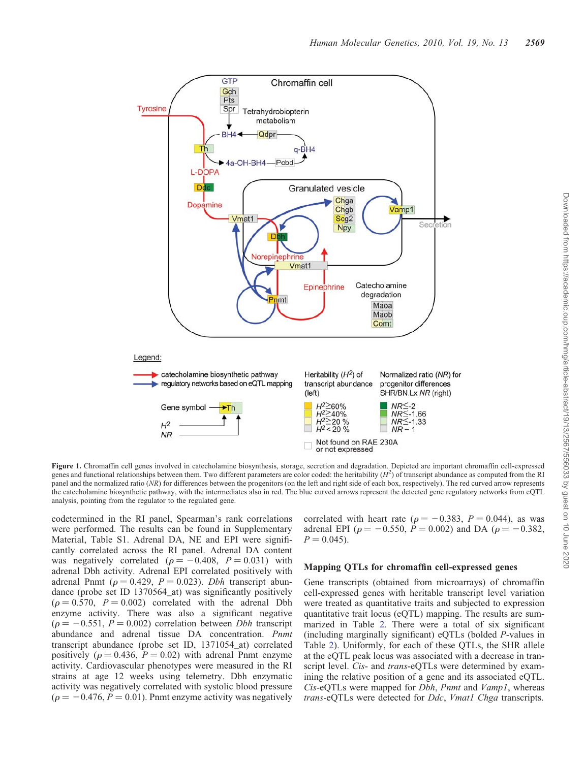<span id="page-2-0"></span>

Downloaded from https://academic.oup.com/hmg/article-abstract/19/13/2567/556033 by guest on 10 June 2020

Downloaded from https://academic.oup.com/hmg/article-abstract/19/13/2567/556033 by guest on 10 June 2020

Figure 1. Chromaffin cell genes involved in catecholamine biosynthesis, storage, secretion and degradation. Depicted are important chromaffin cell-expressed genes and functional relationships between them. Two different parameters are color coded: the heritability  $(H^2)$  of transcript abundance as computed from the RI panel and the normalized ratio (NR) for differences between the progenitors (on the left and right side of each box, respectively). The red curved arrow represents the catecholamine biosynthetic pathway, with the intermediates also in red. The blue curved arrows represent the detected gene regulatory networks from eQTL analysis, pointing from the regulator to the regulated gene.

codetermined in the RI panel, Spearman's rank correlations were performed. The results can be found in [Supplementary](http://hmg.oxfordjournals.org/cgi/content/full/ddq135/DC1) [Material, Table S1.](http://hmg.oxfordjournals.org/cgi/content/full/ddq135/DC1) Adrenal DA, NE and EPI were significantly correlated across the RI panel. Adrenal DA content was negatively correlated ( $\rho = -0.408$ ,  $P = 0.031$ ) with adrenal Dbh activity. Adrenal EPI correlated positively with adrenal Pnmt ( $\rho = 0.429$ ,  $P = 0.023$ ). *Dbh* transcript abundance (probe set ID 1370564\_at) was significantly positively  $(\rho = 0.570, P = 0.002)$  correlated with the adrenal Dbh enzyme activity. There was also a significant negative  $(\rho = -0.551, P = 0.002)$  correlation between *Dbh* transcript abundance and adrenal tissue DA concentration. Pnmt transcript abundance (probe set ID, 1371054\_at) correlated positively ( $\rho = 0.436$ ,  $P = 0.02$ ) with adrenal Pnmt enzyme activity. Cardiovascular phenotypes were measured in the RI strains at age 12 weeks using telemetry. Dbh enzymatic activity was negatively correlated with systolic blood pressure  $(\rho = -0.476, P = 0.01)$ . Pnmt enzyme activity was negatively correlated with heart rate ( $\rho = -0.383$ ,  $P = 0.044$ ), as was adrenal EPI ( $\rho = -0.550$ ,  $P = 0.002$ ) and DA ( $\rho = -0.382$ ,  $P = 0.045$ .

## Mapping QTLs for chromaffin cell-expressed genes

Gene transcripts (obtained from microarrays) of chromaffin cell-expressed genes with heritable transcript level variation were treated as quantitative traits and subjected to expression quantitative trait locus (eQTL) mapping. The results are summarized in Table [2](#page-4-0). There were a total of six significant (including marginally significant) eQTLs (bolded P-values in Table [2](#page-4-0)). Uniformly, for each of these QTLs, the SHR allele at the eQTL peak locus was associated with a decrease in transcript level. Cis- and trans-eQTLs were determined by examining the relative position of a gene and its associated eQTL. Cis-eQTLs were mapped for Dbh, Pnmt and Vamp1, whereas trans-eQTLs were detected for *Ddc*, *Vmat1* Chga transcripts.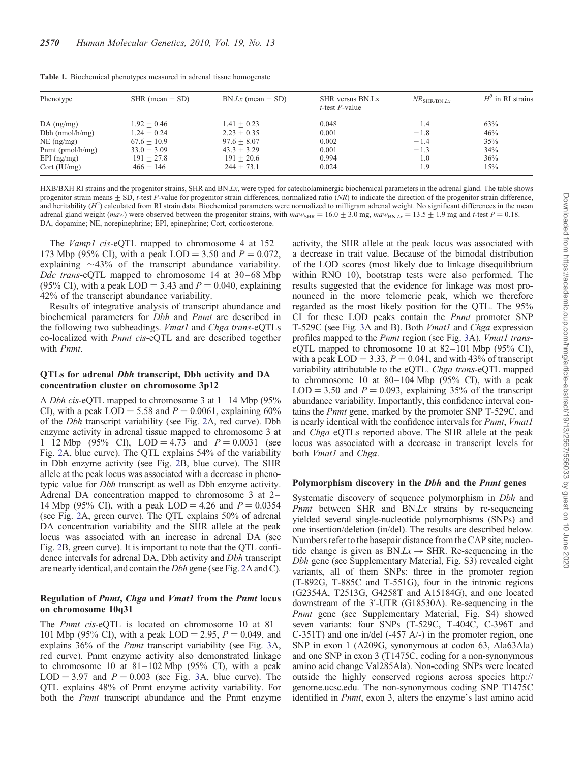| Phenotype            | SHR (mean $\pm$ SD) | $BN.Lx$ (mean $+ SD$ ) | SHR versus BN.Lx<br>$t$ -test P-value | $NR_{\rm SHR/BN,Lx}$ | $H^2$ in RI strains |  |
|----------------------|---------------------|------------------------|---------------------------------------|----------------------|---------------------|--|
| $DA$ (ng/mg)         | $1.92 + 0.46$       | $1.41 + 0.23$          | 0.048                                 | 1.4                  | 63%                 |  |
| Dbh $(nmol/h/mg)$    | $1.24 + 0.24$       | $2.23 + 0.35$          | 0.001                                 | $-1.8$               | 46%                 |  |
| $NE$ (ng/mg)         | $67.6 + 10.9$       | $97.6 + 8.07$          | 0.002                                 | $-1.4$               | 35%                 |  |
| Pnmt ( $pmol/h/mg$ ) | $33.0 + 3.09$       | $43.3 + 3.29$          | 0.001                                 | $-1.3$               | 34%                 |  |
| $EPI$ (ng/mg)        | $191 + 27.8$        | $191 + 20.6$           | 0.994                                 | 1.0                  | 36%                 |  |
| Cort (IU/mg)         | $466 + 146$         | $244 \pm 73.1$         | 0.024                                 | 1.9                  | 15%                 |  |

<span id="page-3-0"></span>Table 1. Biochemical phenotypes measured in adrenal tissue homogenate

HXB/BXH RI strains and the progenitor strains, SHR and BN.Lx, were typed for catecholaminergic biochemical parameters in the adrenal gland. The table shows progenitor strain means  $\pm$  SD, t-test P-value for progenitor strain differences, normalized ratio (NR) to indicate the direction of the progenitor strain difference, and heritability  $(H^2)$  calculated from RI strain data. Biochemical parameters were normalized to milligram adrenal weight. No significant differences in the mean adrenal gland weight (maw) were observed between the progenitor strains, with  $maw_{\text{SHR}} = 16.0 \pm 3.0$  mg,  $maw_{\text{BNL},Lx} = 13.5 \pm 1.9$  mg and t-test  $P = 0.18$ . DA, dopamine; NE, norepinephrine; EPI, epinephrine; Cort, corticosterone.

The *Vamp1* cis-eQTL mapped to chromosome 4 at 152– 173 Mbp (95% CI), with a peak LOD = 3.50 and  $P = 0.072$ , explaining  $\sim$ 43% of the transcript abundance variability. Ddc trans-eQTL mapped to chromosome 14 at 30–68 Mbp (95% CI), with a peak LOD = 3.43 and  $P = 0.040$ , explaining 42% of the transcript abundance variability.

Results of integrative analysis of transcript abundance and biochemical parameters for Dbh and Pnmt are described in the following two subheadings. *Vmat1* and *Chga trans-eQTLs* co-localized with Pnmt cis-eQTL and are described together with Pnmt.

## QTLs for adrenal Dbh transcript, Dbh activity and DA concentration cluster on chromosome 3p12

A Dbh cis-eQTL mapped to chromosome 3 at 1–14 Mbp (95% CI), with a peak LOD = 5.58 and  $P = 0.0061$ , explaining 60% of the Dbh transcript variability (see Fig. [2A](#page-5-0), red curve). Dbh enzyme activity in adrenal tissue mapped to chromosome 3 at 1–12 Mbp (95% CI), LOD = 4.73 and  $P = 0.0031$  (see Fig. [2A](#page-5-0), blue curve). The QTL explains 54% of the variability in Dbh enzyme activity (see Fig. [2B](#page-5-0), blue curve). The SHR allele at the peak locus was associated with a decrease in phenotypic value for Dbh transcript as well as Dbh enzyme activity. Adrenal DA concentration mapped to chromosome 3 at 2– 14 Mbp (95% CI), with a peak LOD = 4.26 and  $P = 0.0354$ (see Fig. [2](#page-5-0)A, green curve). The QTL explains 50% of adrenal DA concentration variability and the SHR allele at the peak locus was associated with an increase in adrenal DA (see Fig. [2B](#page-5-0), green curve). It is important to note that the QTL confidence intervals for adrenal DA, Dbh activity and Dbh transcript are nearly identical, and contain the Dbh gene (see Fig. [2](#page-5-0)A and C).

## Regulation of Pnmt, Chga and Vmat1 from the Pnmt locus on chromosome 10q31

The *Pnmt cis-eQTL* is located on chromosome 10 at 81– 101 Mbp (95% CI), with a peak LOD = 2.95,  $P = 0.049$ , and explains 36% of the Pnmt transcript variability (see Fig. [3](#page-6-0)A, red curve). Pnmt enzyme activity also demonstrated linkage to chromosome 10 at  $81-102$  Mbp (95% CI), with a peak  $LOD = 3.97$  $LOD = 3.97$  $LOD = 3.97$  and  $P = 0.003$  (see Fig. 3A, blue curve). The QTL explains 48% of Pnmt enzyme activity variability. For both the *Pnmt* transcript abundance and the Pnmt enzyme activity, the SHR allele at the peak locus was associated with a decrease in trait value. Because of the bimodal distribution of the LOD scores (most likely due to linkage disequilibrium within RNO 10), bootstrap tests were also performed. The results suggested that the evidence for linkage was most pronounced in the more telomeric peak, which we therefore regarded as the most likely position for the QTL. The 95% CI for these LOD peaks contain the Pnmt promoter SNP T-529C (see Fig. [3A](#page-6-0) and B). Both *Vmat1* and *Chga* expression profiles mapped to the *Pnmt* region (see Fig. [3A](#page-6-0)). *Vmat1* transeQTL mapped to chromosome 10 at  $82-101$  Mbp (95% CI), with a peak  $LOD = 3.33$ ,  $P = 0.041$ , and with 43% of transcript variability attributable to the eQTL. Chga trans-eQTL mapped to chromosome 10 at  $80-104$  Mbp (95% CI), with a peak  $LOD = 3.50$  and  $P = 0.093$ , explaining 35% of the transcript abundance variability. Importantly, this confidence interval contains the Pnmt gene, marked by the promoter SNP T-529C, and is nearly identical with the confidence intervals for *Pnmt*, *Vmat1* and Chga eQTLs reported above. The SHR allele at the peak locus was associated with a decrease in transcript levels for both *Vmat1* and *Chga*.

## Polymorphism discovery in the *Dbh* and the *Pnmt* genes

Systematic discovery of sequence polymorphism in *Dbh* and Pnmt between SHR and BN.Lx strains by re-sequencing yielded several single-nucleotide polymorphisms (SNPs) and one insertion/deletion (in/del). The results are described below. Numbers refer to the basepair distance from the CAP site; nucleotide change is given as  $BN.Lx \rightarrow SHR$ . Re-sequencing in the Dbh gene (see [Supplementary Material, Fig. S3\)](http://hmg.oxfordjournals.org/cgi/content/full/ddq135/DC1) revealed eight variants, all of them SNPs: three in the promoter region (T-892G, T-885C and T-551G), four in the intronic regions (G2354A, T2513G, G4258T and A15184G), and one located downstream of the 3′ -UTR (G18530A). Re-sequencing in the Pnmt gene (see [Supplementary Material, Fig. S4\)](http://hmg.oxfordjournals.org/cgi/content/full/ddq135/DC1) showed seven variants: four SNPs (T-529C, T-404C, C-396T and C-351T) and one in/del (-457 A/-) in the promoter region, one SNP in exon 1 (A209G, synonymous at codon 63, Ala63Ala) and one SNP in exon 3 (T1475C, coding for a non-synonymous amino acid change Val285Ala). Non-coding SNPs were located outside the highly conserved regions across species http:// genome.ucsc.edu. The non-synonymous coding SNP T1475C identified in *Pnmt*, exon 3, alters the enzyme's last amino acid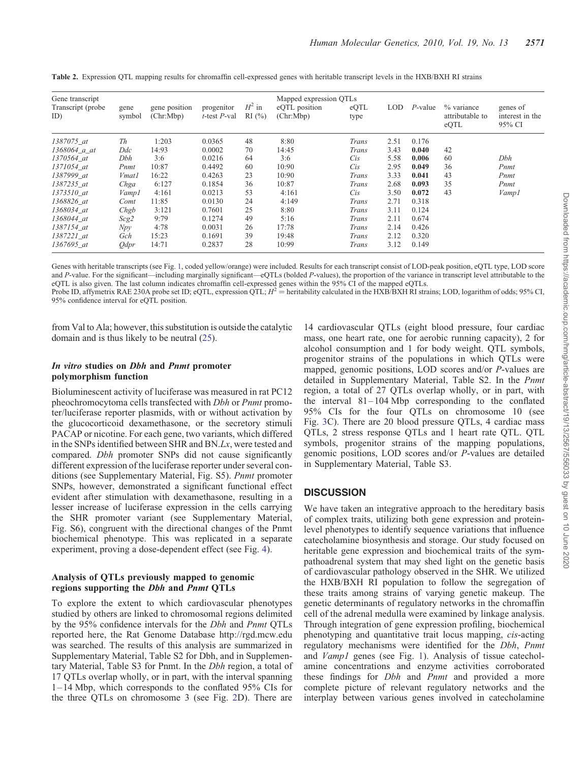| Gene transcript<br>Transcript (probe)<br>ID) | gene<br>symbol | gene position<br>(Chr:Mbp) | progenitor<br>$t$ -test $P$ -val | $H^2$ in<br>RI(%) | Mapped expression QTLs<br>eQTL position<br>(Chr:Mbp) | eQTL<br>type | <b>LOD</b> | $P$ -value | % variance<br>attributable to<br>eQTL | genes of<br>interest in the<br>95% CI |
|----------------------------------------------|----------------|----------------------------|----------------------------------|-------------------|------------------------------------------------------|--------------|------------|------------|---------------------------------------|---------------------------------------|
| 1387075 at                                   | Th             | 1:203                      | 0.0365                           | 48                | 8:80                                                 | Trans        | 2.51       | 0.176      |                                       |                                       |
| $1368064$ a_at                               | Ddc            | 14:93                      | 0.0002                           | 70                | 14:45                                                | Trans        | 3.43       | 0.040      | 42                                    |                                       |
| 1370564 at                                   | Dbh            | 3:6                        | 0.0216                           | 64                | 3:6                                                  | <i>Cis</i>   | 5.58       | 0.006      | 60                                    | Dbh                                   |
| 1371054 at                                   | Pnmt           | 10:87                      | 0.4492                           | 60                | 10:90                                                | <i>Cis</i>   | 2.95       | 0.049      | 36                                    | Pnmt                                  |
| 1387999 at                                   | <i>Vmat1</i>   | 16:22                      | 0.4263                           | 23                | 10:90                                                | Trans        | 3.33       | 0.041      | 43                                    | Pnmt                                  |
| 1387235 at                                   | Chga           | 6:127                      | 0.1854                           | 36                | 10:87                                                | Trans        | 2.68       | 0.093      | 35                                    | Pnmt                                  |
| 1373510 at                                   | Vampl          | 4:161                      | 0.0213                           | 53                | 4:161                                                | Cis          | 3.50       | 0.072      | 43                                    | Vamp1                                 |
| 1368826 at                                   | Comt           | 11:85                      | 0.0130                           | 24                | 4:149                                                | Trans        | 2.71       | 0.318      |                                       |                                       |
| 1368034_at                                   | Chgb           | 3:121                      | 0.7601                           | 25                | 8:80                                                 | Trans        | 3.11       | 0.124      |                                       |                                       |
| 1368044 at                                   | Scg2           | 9:79                       | 0.1274                           | 49                | 5:16                                                 | Trans        | 2.11       | 0.674      |                                       |                                       |
| 1387154 at                                   | Npy            | 4:78                       | 0.0031                           | 26                | 17:78                                                | Trans        | 2.14       | 0.426      |                                       |                                       |
| 1387221 at                                   | Gch            | 15:23                      | 0.1691                           | 39                | 19:48                                                | Trans        | 2.12       | 0.320      |                                       |                                       |
| 1367695 at                                   | <i>Odpr</i>    | 14:71                      | 0.2837                           | 28                | 10:99                                                | Trans        | 3.12       | 0.149      |                                       |                                       |

<span id="page-4-0"></span>Table 2. Expression QTL mapping results for chromaffin cell-expressed genes with heritable transcript levels in the HXB/BXH RI strains

Genes with heritable transcripts (see Fig. [1,](#page-2-0) coded yellow/orange) were included. Results for each transcript consist of LOD-peak position, eQTL type, LOD score and P-value. For the significant—including marginally significant—eQTLs (bolded P-values), the proportion of the variance in transcript level attributable to the eQTL is also given. The last column indicates chromaffin cell-expressed genes within the 95% CI of the mapped eQTLs.

Probe ID, affymetrix RAE 230A probe set ID; eQTL, expression QTL;  $H^2$  = heritability calculated in the HXB/BXH RI strains; LOD, logarithm of odds; 95% CI, 95% confidence interval for eQTL position.

from Val to Ala; however, this substitution is outside the catalytic domain and is thus likely to be neutral ([25\)](#page-12-0).

## In vitro studies on Dbh and Pnmt promoter polymorphism function

Bioluminescent activity of luciferase was measured in rat PC12 pheochromocytoma cells transfected with Dbh or Pnmt promoter/luciferase reporter plasmids, with or without activation by the glucocorticoid dexamethasone, or the secretory stimuli PACAP or nicotine. For each gene, two variants, which differed in the SNPs identified between SHR and BN.Lx, were tested and compared. Dbh promoter SNPs did not cause significantly different expression of the luciferase reporter under several conditions (see [Supplementary Material, Fig. S5](http://hmg.oxfordjournals.org/cgi/content/full/ddq135/DC1)). Pnmt promoter SNPs, however, demonstrated a significant functional effect evident after stimulation with dexamethasone, resulting in a lesser increase of luciferase expression in the cells carrying the SHR promoter variant (see [Supplementary Material,](http://hmg.oxfordjournals.org/cgi/content/full/ddq135/DC1) [Fig. S6\)](http://hmg.oxfordjournals.org/cgi/content/full/ddq135/DC1), congruent with the directional changes of the Pnmt biochemical phenotype. This was replicated in a separate experiment, proving a dose-dependent effect (see Fig. [4](#page-7-0)).

## Analysis of QTLs previously mapped to genomic regions supporting the Dbh and Pnmt QTLs

To explore the extent to which cardiovascular phenotypes studied by others are linked to chromosomal regions delimited by the 95% confidence intervals for the Dbh and Pnmt QTLs reported here, the Rat Genome Database http://rgd.mcw.edu was searched. The results of this analysis are summarized in [Supplementary Material, Table S2](http://hmg.oxfordjournals.org/cgi/content/full/ddq135/DC1) for Dbh, and in [Supplemen](http://hmg.oxfordjournals.org/cgi/content/full/ddq135/DC1)[tary Material, Table S3](http://hmg.oxfordjournals.org/cgi/content/full/ddq135/DC1) for Pnmt. In the Dbh region, a total of 17 QTLs overlap wholly, or in part, with the interval spanning 1–14 Mbp, which corresponds to the conflated 95% CIs for the three QTLs on chromosome 3 (see Fig. [2](#page-5-0)D). There are

14 cardiovascular QTLs (eight blood pressure, four cardiac mass, one heart rate, one for aerobic running capacity), 2 for alcohol consumption and 1 for body weight. QTL symbols, progenitor strains of the populations in which QTLs were mapped, genomic positions, LOD scores and/or P-values are detailed in [Supplementary Material, Table S2.](http://hmg.oxfordjournals.org/cgi/content/full/ddq135/DC1) In the Pnmt region, a total of 27 QTLs overlap wholly, or in part, with the interval 81–104 Mbp corresponding to the conflated 95% CIs for the four QTLs on chromosome 10 (see Fig. [3C](#page-6-0)). There are 20 blood pressure QTLs, 4 cardiac mass QTLs, 2 stress response QTLs and 1 heart rate QTL. QTL symbols, progenitor strains of the mapping populations, genomic positions, LOD scores and/or P-values are detailed in [Supplementary Material, Table S3](http://hmg.oxfordjournals.org/cgi/content/full/ddq135/DC1).

## **DISCUSSION**

We have taken an integrative approach to the hereditary basis of complex traits, utilizing both gene expression and proteinlevel phenotypes to identify sequence variations that influence catecholamine biosynthesis and storage. Our study focused on heritable gene expression and biochemical traits of the sympathoadrenal system that may shed light on the genetic basis of cardiovascular pathology observed in the SHR. We utilized the HXB/BXH RI population to follow the segregation of these traits among strains of varying genetic makeup. The genetic determinants of regulatory networks in the chromaffin cell of the adrenal medulla were examined by linkage analysis. Through integration of gene expression profiling, biochemical phenotyping and quantitative trait locus mapping, cis-acting regulatory mechanisms were identified for the Dbh, Pnmt and Vamp1 genes (see Fig. [1](#page-2-0)). Analysis of tissue catecholamine concentrations and enzyme activities corroborated these findings for *Dbh* and *Pnmt* and provided a more complete picture of relevant regulatory networks and the interplay between various genes involved in catecholamine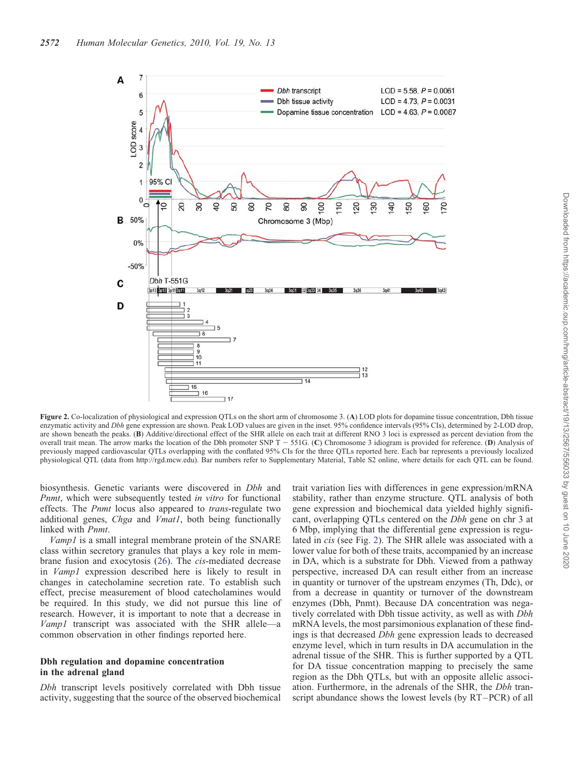<span id="page-5-0"></span>

Figure 2. Co-localization of physiological and expression QTLs on the short arm of chromosome 3. (A) LOD plots for dopamine tissue concentration, Dbh tissue enzymatic activity and Dbh gene expression are shown. Peak LOD values are given in the inset. 95% confidence intervals (95% CIs), determined by 2-LOD drop, are shown beneath the peaks. (B) Additive/directional effect of the SHR allele on each trait at different RNO 3 loci is expressed as percent deviation from the overall trait mean. The arrow marks the location of the Dbh promoter SNP T  $-$  551G. (C) Chromosome 3 idiogram is provided for reference. (D) Analysis of previously mapped cardiovascular QTLs overlapping with the conflated 95% CIs for the three QTLs reported here. Each bar represents a previously localized physiological QTL (data from http://rgd.mcw.edu). Bar numbers refer to [Supplementary Material, Table S2](http://hmg.oxfordjournals.org/cgi/content/full/ddq135/DC1) online, where details for each QTL can be found.

biosynthesis. Genetic variants were discovered in *Dbh* and Pnmt, which were subsequently tested in vitro for functional effects. The Pnmt locus also appeared to trans-regulate two additional genes, Chga and Vmat1, both being functionally linked with Pnmt.

Vamp1 is a small integral membrane protein of the SNARE class within secretory granules that plays a key role in membrane fusion and exocytosis ([26\)](#page-12-0). The cis-mediated decrease in Vamp1 expression described here is likely to result in changes in catecholamine secretion rate. To establish such effect, precise measurement of blood catecholamines would be required. In this study, we did not pursue this line of research. However, it is important to note that a decrease in Vamp1 transcript was associated with the SHR allele—a common observation in other findings reported here.

## Dbh regulation and dopamine concentration in the adrenal gland

Dbh transcript levels positively correlated with Dbh tissue activity, suggesting that the source of the observed biochemical trait variation lies with differences in gene expression/mRNA stability, rather than enzyme structure. QTL analysis of both gene expression and biochemical data yielded highly significant, overlapping QTLs centered on the Dbh gene on chr 3 at 6 Mbp, implying that the differential gene expression is regulated in cis (see Fig. 2). The SHR allele was associated with a lower value for both of these traits, accompanied by an increase in DA, which is a substrate for Dbh. Viewed from a pathway perspective, increased DA can result either from an increase in quantity or turnover of the upstream enzymes (Th, Ddc), or from a decrease in quantity or turnover of the downstream enzymes (Dbh, Pnmt). Because DA concentration was negatively correlated with Dbh tissue activity, as well as with *Dbh* mRNA levels, the most parsimonious explanation of these findings is that decreased Dbh gene expression leads to decreased enzyme level, which in turn results in DA accumulation in the adrenal tissue of the SHR. This is further supported by a QTL for DA tissue concentration mapping to precisely the same region as the Dbh QTLs, but with an opposite allelic association. Furthermore, in the adrenals of the SHR, the *Dbh* transcript abundance shows the lowest levels (by RT–PCR) of all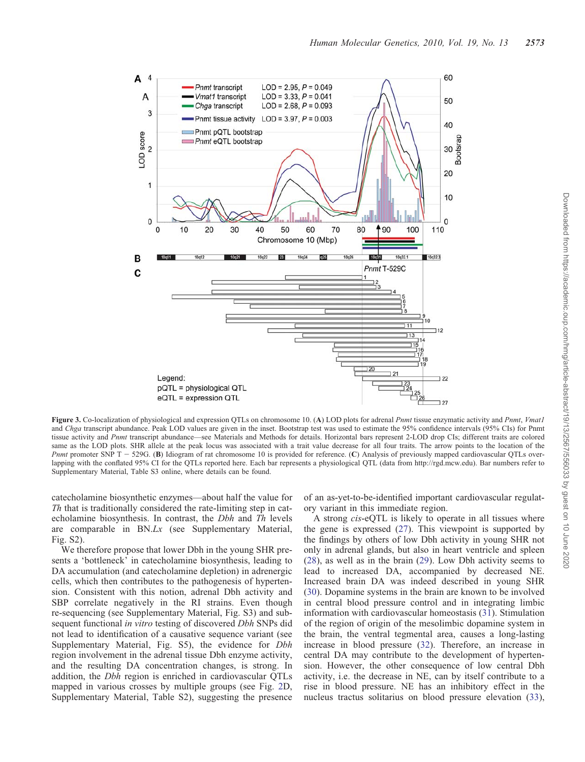<span id="page-6-0"></span>

Figure 3. Co-localization of physiological and expression QTLs on chromosome 10. (A) LOD plots for adrenal Pnmt tissue enzymatic activity and Pnmt, Vmat1 and Chga transcript abundance. Peak LOD values are given in the inset. Bootstrap test was used to estimate the 95% confidence intervals (95% CIs) for Pnmt tissue activity and Pnmt transcript abundance—see Materials and Methods for details. Horizontal bars represent 2-LOD drop CIs; different traits are colored same as the LOD plots. SHR allele at the peak locus was associated with a trait value decrease for all four traits. The arrow points to the location of the Pnmt promoter SNP  $T - 529G$ . (B) Idiogram of rat chromosome 10 is provided for reference. (C) Analysis of previously mapped cardiovascular QTLs overlapping with the conflated 95% CI for the QTLs reported here. Each bar represents a physiological QTL (data from http://rgd.mcw.edu). Bar numbers refer to [Supplementary Material, Table S3](http://hmg.oxfordjournals.org/cgi/content/full/ddq135/DC1) online, where details can be found.

catecholamine biosynthetic enzymes—about half the value for Th that is traditionally considered the rate-limiting step in catecholamine biosynthesis. In contrast, the Dbh and Th levels are comparable in BN.Lx (see [Supplementary Material,](http://hmg.oxfordjournals.org/cgi/content/full/ddq135/DC1) [Fig. S2](http://hmg.oxfordjournals.org/cgi/content/full/ddq135/DC1)).

We therefore propose that lower Dbh in the young SHR presents a 'bottleneck' in catecholamine biosynthesis, leading to DA accumulation (and catecholamine depletion) in adrenergic cells, which then contributes to the pathogenesis of hypertension. Consistent with this notion, adrenal Dbh activity and SBP correlate negatively in the RI strains. Even though re-sequencing (see [Supplementary Material, Fig. S3](http://hmg.oxfordjournals.org/cgi/content/full/ddq135/DC1)) and subsequent functional *in vitro* testing of discovered *Dbh* SNPs did not lead to identification of a causative sequence variant (see [Supplementary Material, Fig. S5](http://hmg.oxfordjournals.org/cgi/content/full/ddq135/DC1)), the evidence for Dbh region involvement in the adrenal tissue Dbh enzyme activity, and the resulting DA concentration changes, is strong. In addition, the Dbh region is enriched in cardiovascular QTLs mapped in various crosses by multiple groups (see Fig. [2](#page-5-0)D, [Supplementary Material, Table S2](http://hmg.oxfordjournals.org/cgi/content/full/ddq135/DC1)), suggesting the presence of an as-yet-to-be-identified important cardiovascular regulatory variant in this immediate region.

A strong cis-eQTL is likely to operate in all tissues where the gene is expressed [\(27](#page-12-0)). This viewpoint is supported by the findings by others of low Dbh activity in young SHR not only in adrenal glands, but also in heart ventricle and spleen [\(28](#page-12-0)), as well as in the brain [\(29](#page-12-0)). Low Dbh activity seems to lead to increased DA, accompanied by decreased NE. Increased brain DA was indeed described in young SHR [\(30](#page-12-0)). Dopamine systems in the brain are known to be involved in central blood pressure control and in integrating limbic information with cardiovascular homeostasis ([31\)](#page-12-0). Stimulation of the region of origin of the mesolimbic dopamine system in the brain, the ventral tegmental area, causes a long-lasting increase in blood pressure [\(32](#page-12-0)). Therefore, an increase in central DA may contribute to the development of hypertension. However, the other consequence of low central Dbh activity, i.e. the decrease in NE, can by itself contribute to a rise in blood pressure. NE has an inhibitory effect in the nucleus tractus solitarius on blood pressure elevation [\(33](#page-12-0)),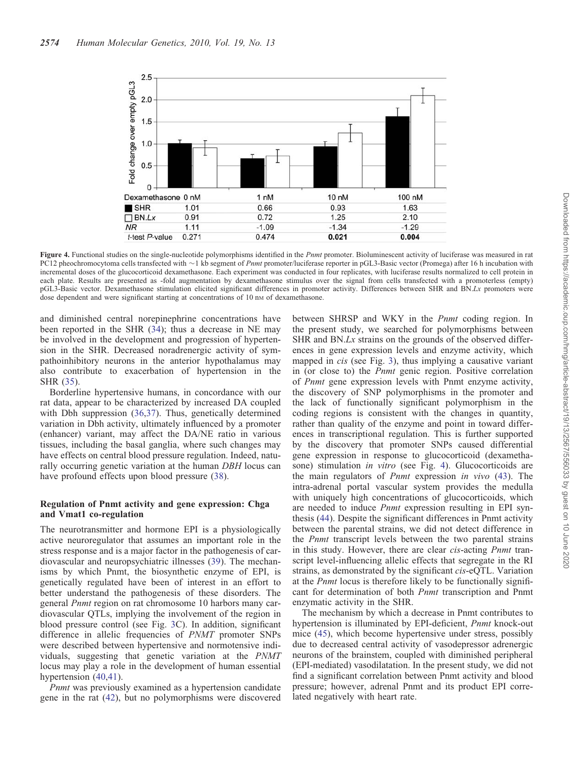<span id="page-7-0"></span>

Figure 4. Functional studies on the single-nucleotide polymorphisms identified in the Pnmt promoter. Bioluminescent activity of luciferase was measured in rat PC12 pheochromocytoma cells transfected with  $\sim$ 1 kb segment of *Pnmt* promoter/luciferase reporter in pGL3-Basic vector (Promega) after 16 h incubation with incremental doses of the glucocorticoid dexamethasone. Each experiment was conducted in four replicates, with luciferase results normalized to cell protein in each plate. Results are presented as -fold augmentation by dexamethasone stimulus over the signal from cells transfected with a promoterless (empty) pGL3-Basic vector. Dexamethasone stimulation elicited significant differences in promoter activity. Differences between SHR and BN.Lx promoters were dose dependent and were significant starting at concentrations of 10 nm of dexamethasone.

and diminished central norepinephrine concentrations have been reported in the SHR [\(34](#page-12-0)); thus a decrease in NE may be involved in the development and progression of hypertension in the SHR. Decreased noradrenergic activity of sympathoinhibitory neurons in the anterior hypothalamus may also contribute to exacerbation of hypertension in the SHR [\(35](#page-12-0)).

Borderline hypertensive humans, in concordance with our rat data, appear to be characterized by increased DA coupled with Dbh suppression ([36,37](#page-12-0)). Thus, genetically determined variation in Dbh activity, ultimately influenced by a promoter (enhancer) variant, may affect the DA/NE ratio in various tissues, including the basal ganglia, where such changes may have effects on central blood pressure regulation. Indeed, naturally occurring genetic variation at the human DBH locus can have profound effects upon blood pressure [\(38](#page-12-0)).

## Regulation of Pnmt activity and gene expression: Chga and Vmat1 co-regulation

The neurotransmitter and hormone EPI is a physiologically active neuroregulator that assumes an important role in the stress response and is a major factor in the pathogenesis of cardiovascular and neuropsychiatric illnesses ([39\)](#page-12-0). The mechanisms by which Pnmt, the biosynthetic enzyme of EPI, is genetically regulated have been of interest in an effort to better understand the pathogenesis of these disorders. The general Pnmt region on rat chromosome 10 harbors many cardiovascular QTLs, implying the involvement of the region in blood pressure control (see Fig. [3C](#page-6-0)). In addition, significant difference in allelic frequencies of PNMT promoter SNPs were described between hypertensive and normotensive individuals, suggesting that genetic variation at the PNMT locus may play a role in the development of human essential hypertension ([40](#page-12-0),[41](#page-12-0)).

Pnmt was previously examined as a hypertension candidate gene in the rat ([42\)](#page-12-0), but no polymorphisms were discovered between SHRSP and WKY in the *Pnmt* coding region. In the present study, we searched for polymorphisms between SHR and BN.Lx strains on the grounds of the observed differences in gene expression levels and enzyme activity, which mapped in *cis* (see Fig. [3\)](#page-6-0), thus implying a causative variant in (or close to) the Pnmt genic region. Positive correlation of Pnmt gene expression levels with Pnmt enzyme activity, the discovery of SNP polymorphisms in the promoter and the lack of functionally significant polymorphism in the coding regions is consistent with the changes in quantity, rather than quality of the enzyme and point in toward differences in transcriptional regulation. This is further supported by the discovery that promoter SNPs caused differential gene expression in response to glucocorticoid (dexamethasone) stimulation in vitro (see Fig. 4). Glucocorticoids are the main regulators of Pnmt expression in vivo [\(43](#page-12-0)). The intra-adrenal portal vascular system provides the medulla with uniquely high concentrations of glucocorticoids, which are needed to induce Pnmt expression resulting in EPI synthesis ([44\)](#page-12-0). Despite the significant differences in Pnmt activity between the parental strains, we did not detect difference in the *Pnmt* transcript levels between the two parental strains in this study. However, there are clear *cis*-acting *Pnmt* transcript level-influencing allelic effects that segregate in the RI strains, as demonstrated by the significant cis-eQTL. Variation at the Pnmt locus is therefore likely to be functionally significant for determination of both Pnmt transcription and Pnmt enzymatic activity in the SHR.

The mechanism by which a decrease in Pnmt contributes to hypertension is illuminated by EPI-deficient, *Pnmt* knock-out mice ([45\)](#page-12-0), which become hypertensive under stress, possibly due to decreased central activity of vasodepressor adrenergic neurons of the brainstem, coupled with diminished peripheral (EPI-mediated) vasodilatation. In the present study, we did not find a significant correlation between Pnmt activity and blood pressure; however, adrenal Pnmt and its product EPI correlated negatively with heart rate.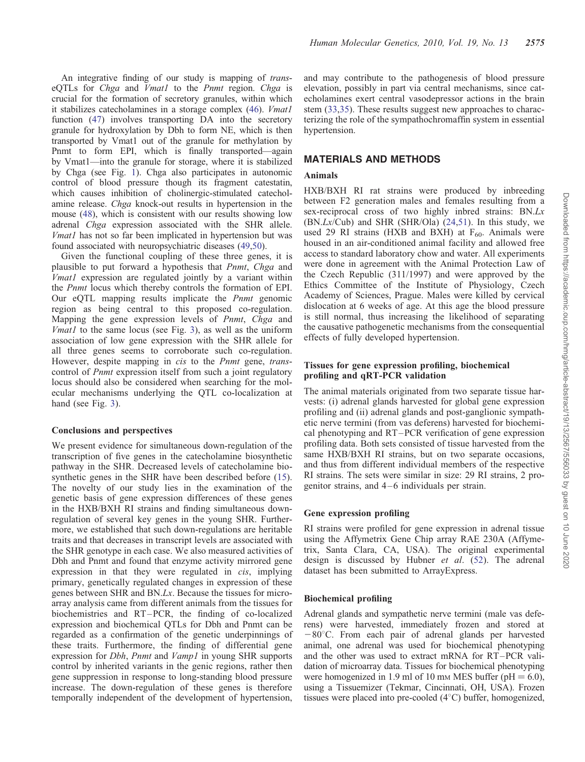An integrative finding of our study is mapping of transeQTLs for *Chga* and *Vmatl* to the *Pnmt* region. *Chga* is crucial for the formation of secretory granules, within which it stabilizes catecholamines in a storage complex [\(46\)](#page-12-0). *Vmat1* function [\(47](#page-12-0)) involves transporting DA into the secretory granule for hydroxylation by Dbh to form NE, which is then transported by Vmat1 out of the granule for methylation by Pnmt to form EPI, which is finally transported—again by Vmat1—into the granule for storage, where it is stabilized by Chga (see Fig. [1](#page-2-0)). Chga also participates in autonomic control of blood pressure though its fragment catestatin, which causes inhibition of cholinergic-stimulated catecholamine release. Chga knock-out results in hypertension in the mouse ([48](#page-12-0)), which is consistent with our results showing low adrenal Chga expression associated with the SHR allele. Vmat1 has not so far been implicated in hypertension but was found associated with neuropsychiatric diseases ([49,50\)](#page-12-0).

Given the functional coupling of these three genes, it is plausible to put forward a hypothesis that Pnmt, Chga and Vmat1 expression are regulated jointly by a variant within the Pnmt locus which thereby controls the formation of EPI. Our eQTL mapping results implicate the Pnmt genomic region as being central to this proposed co-regulation. Mapping the gene expression levels of *Pnmt*, *Chga* and *Vmat1* to the same locus (see Fig. [3\)](#page-6-0), as well as the uniform association of low gene expression with the SHR allele for all three genes seems to corroborate such co-regulation. However, despite mapping in *cis* to the *Pnmt* gene, *trans*control of *Pnmt* expression itself from such a joint regulatory locus should also be considered when searching for the molecular mechanisms underlying the QTL co-localization at hand (see Fig. [3\)](#page-6-0).

## Conclusions and perspectives

We present evidence for simultaneous down-regulation of the transcription of five genes in the catecholamine biosynthetic pathway in the SHR. Decreased levels of catecholamine biosynthetic genes in the SHR have been described before [\(15](#page-11-0)). The novelty of our study lies in the examination of the genetic basis of gene expression differences of these genes in the HXB/BXH RI strains and finding simultaneous downregulation of several key genes in the young SHR. Furthermore, we established that such down-regulations are heritable traits and that decreases in transcript levels are associated with the SHR genotype in each case. We also measured activities of Dbh and Pnmt and found that enzyme activity mirrored gene expression in that they were regulated in *cis*, implying primary, genetically regulated changes in expression of these genes between SHR and BN.Lx. Because the tissues for microarray analysis came from different animals from the tissues for biochemistries and RT–PCR, the finding of co-localized expression and biochemical QTLs for Dbh and Pnmt can be regarded as a confirmation of the genetic underpinnings of these traits. Furthermore, the finding of differential gene expression for *Dbh*, *Pnmt* and *Vamp1* in young SHR supports control by inherited variants in the genic regions, rather then gene suppression in response to long-standing blood pressure increase. The down-regulation of these genes is therefore temporally independent of the development of hypertension,

and may contribute to the pathogenesis of blood pressure elevation, possibly in part via central mechanisms, since catecholamines exert central vasodepressor actions in the brain stem [\(33](#page-12-0),[35\)](#page-12-0). These results suggest new approaches to characterizing the role of the sympathochromaffin system in essential hypertension.

## MATERIALS AND METHODS

## Animals

HXB/BXH RI rat strains were produced by inbreeding between F2 generation males and females resulting from a sex-reciprocal cross of two highly inbred strains: BN.Lx  $(BN.Lx/Cub)$  and SHR  $(SHR/Ola)$   $(24,51)$  $(24,51)$  $(24,51)$ . In this study, we used 29 RI strains (HXB and BXH) at  $F_{60}$ . Animals were housed in an air-conditioned animal facility and allowed free access to standard laboratory chow and water. All experiments were done in agreement with the Animal Protection Law of the Czech Republic (311/1997) and were approved by the Ethics Committee of the Institute of Physiology, Czech Academy of Sciences, Prague. Males were killed by cervical dislocation at 6 weeks of age. At this age the blood pressure is still normal, thus increasing the likelihood of separating the causative pathogenetic mechanisms from the consequential effects of fully developed hypertension.

## Tissues for gene expression profiling, biochemical profiling and qRT-PCR validation

The animal materials originated from two separate tissue harvests: (i) adrenal glands harvested for global gene expression profiling and (ii) adrenal glands and post-ganglionic sympathetic nerve termini (from vas deferens) harvested for biochemical phenotyping and RT–PCR verification of gene expression profiling data. Both sets consisted of tissue harvested from the same HXB/BXH RI strains, but on two separate occasions, and thus from different individual members of the respective RI strains. The sets were similar in size: 29 RI strains, 2 progenitor strains, and 4–6 individuals per strain.

## Gene expression profiling

RI strains were profiled for gene expression in adrenal tissue using the Affymetrix Gene Chip array RAE 230A (Affymetrix, Santa Clara, CA, USA). The original experimental design is discussed by Hubner et al. ([52\)](#page-12-0). The adrenal dataset has been submitted to ArrayExpress.

## Biochemical profiling

Adrenal glands and sympathetic nerve termini (male vas deferens) were harvested, immediately frozen and stored at  $-80^{\circ}$ C. From each pair of adrenal glands per harvested animal, one adrenal was used for biochemical phenotyping and the other was used to extract mRNA for RT–PCR validation of microarray data. Tissues for biochemical phenotyping were homogenized in 1.9 ml of 10 mm MES buffer ( $pH = 6.0$ ), using a Tissuemizer (Tekmar, Cincinnati, OH, USA). Frozen tissues were placed into pre-cooled  $(4^{\circ}C)$  buffer, homogenized,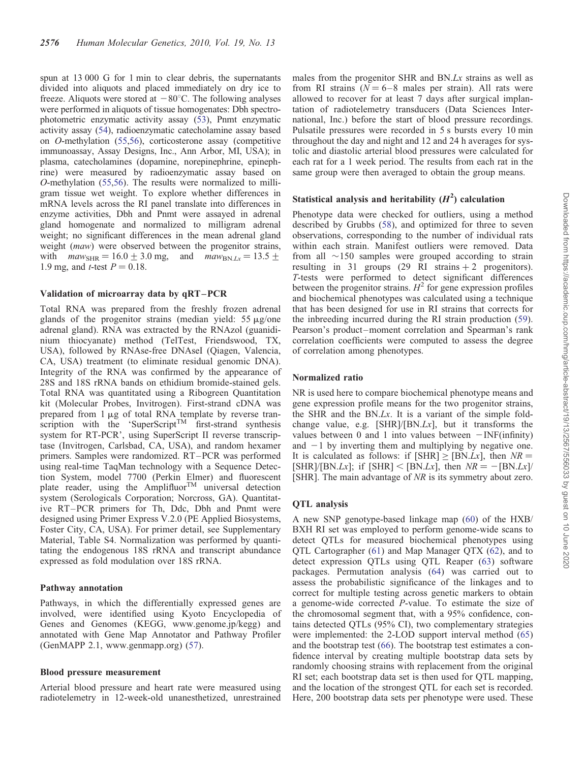spun at 13 000 G for 1 min to clear debris, the supernatants divided into aliquots and placed immediately on dry ice to freeze. Aliquots were stored at  $-80^{\circ}$ C. The following analyses were performed in aliquots of tissue homogenates: Dbh spectrophotometric enzymatic activity assay [\(53\)](#page-12-0), Pnmt enzymatic activity assay [\(54\)](#page-12-0), radioenzymatic catecholamine assay based on O-methylation [\(55](#page-12-0),[56](#page-12-0)), corticosterone assay (competitive immunoassay, Assay Designs, Inc., Ann Arbor, MI, USA); in plasma, catecholamines (dopamine, norepinephrine, epinephrine) were measured by radioenzymatic assay based on O-methylation ([55,56\)](#page-12-0). The results were normalized to milligram tissue wet weight. To explore whether differences in mRNA levels across the RI panel translate into differences in enzyme activities, Dbh and Pnmt were assayed in adrenal gland homogenate and normalized to milligram adrenal weight; no significant differences in the mean adrenal gland weight *(maw)* were observed between the progenitor strains, with  $maw_{\text{SHR}} = 16.0 \pm 3.0 \text{ mg}$ , and  $maw_{\text{BN-Lx}} = 13.5 \pm 1.5 \pm 1.5 \pm 1.5 \pm 1.5 \pm 1.5 \pm 1.5 \pm 1.5 \pm 1.5 \pm 1.5 \pm 1.5 \pm 1.5 \pm 1.5 \pm 1.5 \pm 1.5 \pm 1.5 \pm 1.5 \pm 1.5 \pm 1.5 \pm 1.5 \pm 1.5 \pm 1.5 \pm 1.5 \pm 1.5 \pm 1.5 \pm 1.5 \pm 1.5 \pm 1.5 \pm$ 1.9 mg, and *t*-test  $P = 0.18$ .

## Validation of microarray data by qRT –PCR

Total RNA was prepared from the freshly frozen adrenal glands of the progenitor strains (median yield:  $55 \mu g$ /one adrenal gland). RNA was extracted by the RNAzol (guanidinium thiocyanate) method (TelTest, Friendswood, TX, USA), followed by RNAse-free DNAseI (Qiagen, Valencia, CA, USA) treatment (to eliminate residual genomic DNA). Integrity of the RNA was confirmed by the appearance of 28S and 18S rRNA bands on ethidium bromide-stained gels. Total RNA was quantitated using a Ribogreen Quantitation kit (Molecular Probes, Invitrogen). First-strand cDNA was prepared from  $1 \mu$ g of total RNA template by reverse transcription with the 'SuperScript<sup>TM</sup> first-strand synthesis system for RT-PCR', using SuperScript II reverse transcriptase (Invitrogen, Carlsbad, CA, USA), and random hexamer primers. Samples were randomized. RT–PCR was performed using real-time TaqMan technology with a Sequence Detection System, model 7700 (Perkin Elmer) and fluorescent plate reader, using the Amplifluor<sup>TM</sup> universal detection system (Serologicals Corporation; Norcross, GA). Quantitative RT–PCR primers for Th, Ddc, Dbh and Pnmt were designed using Primer Express V.2.0 (PE Applied Biosystems, Foster City, CA, USA). For primer detail, see [Supplementary](http://hmg.oxfordjournals.org/cgi/content/full/ddq135/DC1) [Material, Table S4](http://hmg.oxfordjournals.org/cgi/content/full/ddq135/DC1). Normalization was performed by quantitating the endogenous 18S rRNA and transcript abundance expressed as fold modulation over 18S rRNA.

## Pathway annotation

Pathways, in which the differentially expressed genes are involved, were identified using Kyoto Encyclopedia of Genes and Genomes (KEGG, www.genome.jp/kegg) and annotated with Gene Map Annotator and Pathway Profiler (GenMAPP 2.1, www.genmapp.org) ([57\)](#page-12-0).

#### Blood pressure measurement

Arterial blood pressure and heart rate were measured using radiotelemetry in 12-week-old unanesthetized, unrestrained

males from the progenitor SHR and BN.Lx strains as well as from RI strains  $(N = 6-8$  males per strain). All rats were allowed to recover for at least 7 days after surgical implantation of radiotelemetry transducers (Data Sciences International, Inc.) before the start of blood pressure recordings. Pulsatile pressures were recorded in 5 s bursts every 10 min throughout the day and night and 12 and 24 h averages for systolic and diastolic arterial blood pressures were calculated for each rat for a 1 week period. The results from each rat in the same group were then averaged to obtain the group means.

# Statistical analysis and heritability  $(H^2)$  calculation

Phenotype data were checked for outliers, using a method described by Grubbs ([58\)](#page-12-0), and optimized for three to seven observations, corresponding to the number of individual rats within each strain. Manifest outliers were removed. Data from all  $\sim$ 150 samples were grouped according to strain resulting in 31 groups  $(29 \text{ RI strains} + 2 \text{ progenitors}).$ T-tests were performed to detect significant differences between the progenitor strains.  $H^2$  for gene expression profiles and biochemical phenotypes was calculated using a technique that has been designed for use in RI strains that corrects for the inbreeding incurred during the RI strain production [\(59](#page-12-0)). Pearson's product–moment correlation and Spearman's rank correlation coefficients were computed to assess the degree of correlation among phenotypes.

#### Normalized ratio

NR is used here to compare biochemical phenotype means and gene expression profile means for the two progenitor strains, the SHR and the BN.Lx. It is a variant of the simple foldchange value, e.g.  $[SHR]/[BN.Lx]$ , but it transforms the values between 0 and 1 into values between  $-$  INF(infinity) and  $-1$  by inverting them and multiplying by negative one. It is calculated as follows: if  $[SHR] \geq [BN.Lx]$ , then  $NR =$ [SHR]/[BN.Lx]; if [SHR] < [BN.Lx], then  $NR = -$ [BN.Lx]/ [SHR]. The main advantage of NR is its symmetry about zero.

## QTL analysis

A new SNP genotype-based linkage map [\(60](#page-12-0)) of the HXB/ BXH RI set was employed to perform genome-wide scans to detect QTLs for measured biochemical phenotypes using QTL Cartographer ([61](#page-13-0)) and Map Manager QTX ([62\)](#page-13-0), and to detect expression QTLs using QTL Reaper [\(63](#page-13-0)) software packages. Permutation analysis ([64\)](#page-13-0) was carried out to assess the probabilistic significance of the linkages and to correct for multiple testing across genetic markers to obtain a genome-wide corrected P-value. To estimate the size of the chromosomal segment that, with a 95% confidence, contains detected QTLs (95% CI), two complementary strategies were implemented: the 2-LOD support interval method ([65\)](#page-13-0) and the bootstrap test ([66\)](#page-13-0). The bootstrap test estimates a confidence interval by creating multiple bootstrap data sets by randomly choosing strains with replacement from the original RI set; each bootstrap data set is then used for QTL mapping, and the location of the strongest QTL for each set is recorded. Here, 200 bootstrap data sets per phenotype were used. These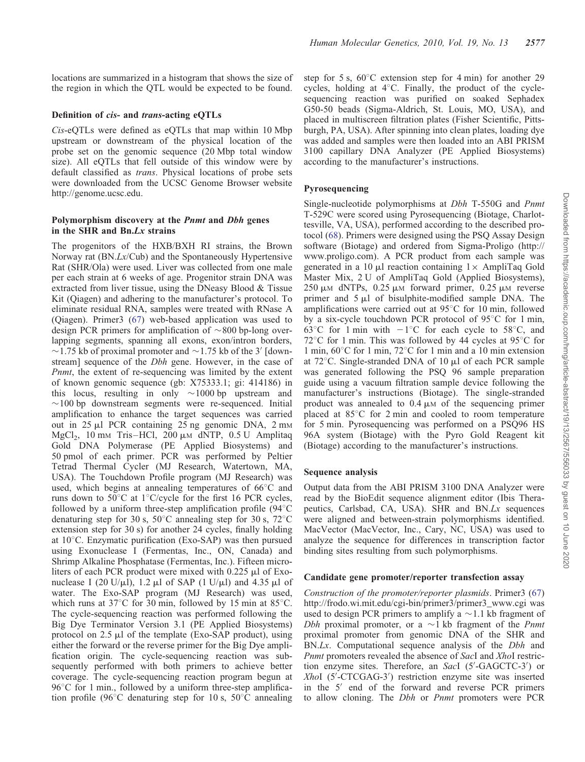locations are summarized in a histogram that shows the size of the region in which the QTL would be expected to be found.

## Definition of cis- and trans-acting eQTLs

Cis-eQTLs were defined as eQTLs that map within 10 Mbp upstream or downstream of the physical location of the probe set on the genomic sequence (20 Mbp total window size). All eQTLs that fell outside of this window were by default classified as trans. Physical locations of probe sets were downloaded from the UCSC Genome Browser website http://genome.ucsc.edu.

## Polymorphism discovery at the Pnmt and Dbh genes in the SHR and Bn.Lx strains

The progenitors of the HXB/BXH RI strains, the Brown Norway rat (BN.Lx/Cub) and the Spontaneously Hypertensive Rat (SHR/Ola) were used. Liver was collected from one male per each strain at 6 weeks of age. Progenitor strain DNA was extracted from liver tissue, using the DNeasy Blood & Tissue Kit (Qiagen) and adhering to the manufacturer's protocol. To eliminate residual RNA, samples were treated with RNase A (Qiagen). Primer3 ([67\)](#page-13-0) web-based application was used to design PCR primers for amplification of  $\sim 800$  bp-long overlapping segments, spanning all exons, exon/intron borders,  $\sim$ 1.75 kb of proximal promoter and  $\sim$ 1.75 kb of the 3' [downstream] sequence of the Dbh gene. However, in the case of Pnmt, the extent of re-sequencing was limited by the extent of known genomic sequence (gb: X75333.1; gi: 414186) in this locus, resulting in only  $\sim$ 1000 bp upstream and  $\sim$ 100 bp downstream segments were re-sequenced. Initial amplification to enhance the target sequences was carried out in  $25 \mu l$  PCR containing  $25$  ng genomic DNA,  $2 \text{ mm}$ MgCl<sub>2</sub>, 10 mm Tris–HCl, 200  $\mu$ m dNTP, 0.5 U Amplitaq Gold DNA Polymerase (PE Applied Biosystems) and 50 pmol of each primer. PCR was performed by Peltier Tetrad Thermal Cycler (MJ Research, Watertown, MA, USA). The Touchdown Profile program (MJ Research) was used, which begins at annealing temperatures of  $66^{\circ}$ C and runs down to 50 $\degree$ C at 1 $\degree$ C/cycle for the first 16 PCR cycles, followed by a uniform three-step amplification profile  $(94^{\circ}$ C denaturing step for 30 s,  $50^{\circ}$ C annealing step for 30 s,  $72^{\circ}$ C extension step for 30 s) for another 24 cycles, finally holding at  $10^{\circ}$ C. Enzymatic purification (Exo-SAP) was then pursued using Exonuclease I (Fermentas, Inc., ON, Canada) and Shrimp Alkaline Phosphatase (Fermentas, Inc.). Fifteen microliters of each PCR product were mixed with  $0.225 \mu$ l of Exonuclease I (20 U/ $\mu$ l), 1.2  $\mu$ l of SAP (1 U/ $\mu$ l) and 4.35  $\mu$ l of water. The Exo-SAP program (MJ Research) was used, which runs at  $37^{\circ}$ C for 30 min, followed by 15 min at  $85^{\circ}$ C. The cycle-sequencing reaction was performed following the Big Dye Terminator Version 3.1 (PE Applied Biosystems) protocol on  $2.5 \mu l$  of the template (Exo-SAP product), using either the forward or the reverse primer for the Big Dye amplification origin. The cycle-sequencing reaction was subsequently performed with both primers to achieve better coverage. The cycle-sequencing reaction program begun at  $96^{\circ}$ C for 1 min., followed by a uniform three-step amplification profile (96 $\degree$ C denaturing step for 10 s, 50 $\degree$ C annealing

step for 5 s,  $60^{\circ}$ C extension step for 4 min) for another 29 cycles, holding at  $4^{\circ}$ C. Finally, the product of the cyclesequencing reaction was purified on soaked Sephadex G50-50 beads (Sigma-Aldrich, St. Louis, MO, USA), and placed in multiscreen filtration plates (Fisher Scientific, Pittsburgh, PA, USA). After spinning into clean plates, loading dye was added and samples were then loaded into an ABI PRISM 3100 capillary DNA Analyzer (PE Applied Biosystems) according to the manufacturer's instructions.

## Pyrosequencing

Single-nucleotide polymorphisms at Dbh T-550G and Pnmt T-529C were scored using Pyrosequencing (Biotage, Charlottesville, VA, USA), performed according to the described protocol ([68\)](#page-13-0). Primers were designed using the PSQ Assay Design software (Biotage) and ordered from Sigma-Proligo (http:// www.proligo.com). A PCR product from each sample was generated in a 10  $\mu$ l reaction containing  $1 \times$  AmpliTaq Gold Master Mix, 2 U of AmpliTaq Gold (Applied Biosystems),  $250 \mu M$  dNTPs, 0.25  $\mu$ M forward primer, 0.25  $\mu$ M reverse primer and  $5 \mu l$  of bisulphite-modified sample DNA. The amplifications were carried out at  $95^{\circ}$ C for 10 min, followed by a six-cycle touchdown PCR protocol of  $95^{\circ}$ C for 1 min, 63<sup>°</sup>C for 1 min with  $-1$ <sup>°</sup>C for each cycle to 58<sup>°</sup>C, and 72 $\degree$ C for 1 min. This was followed by 44 cycles at 95 $\degree$ C for 1 min,  $60^{\circ}$ C for 1 min,  $72^{\circ}$ C for 1 min and a 10 min extension at  $72^{\circ}$ C. Single-stranded DNA of 10  $\mu$ l of each PCR sample was generated following the PSQ 96 sample preparation guide using a vacuum filtration sample device following the manufacturer's instructions (Biotage). The single-stranded product was annealed to  $0.4 \mu$ M of the sequencing primer placed at  $85^{\circ}$ C for 2 min and cooled to room temperature for 5 min. Pyrosequencing was performed on a PSQ96 HS 96A system (Biotage) with the Pyro Gold Reagent kit (Biotage) according to the manufacturer's instructions.

## Sequence analysis

Output data from the ABI PRISM 3100 DNA Analyzer were read by the BioEdit sequence alignment editor (Ibis Therapeutics, Carlsbad, CA, USA). SHR and BN.Lx sequences were aligned and between-strain polymorphisms identified. MacVector (MacVector, Inc., Cary, NC, USA) was used to analyze the sequence for differences in transcription factor binding sites resulting from such polymorphisms.

## Candidate gene promoter/reporter transfection assay

Construction of the promoter/reporter plasmids. Primer3 ([67\)](#page-13-0) http://frodo.wi.mit.edu/cgi-bin/primer3/primer3\_www.cgi was used to design PCR primers to amplify a  $\sim$  1.1 kb fragment of *Dbh* proximal promoter, or a  $\sim$ 1 kb fragment of the *Pnmt* proximal promoter from genomic DNA of the SHR and BN.Lx. Computational sequence analysis of the *Dbh* and Pnmt promoters revealed the absence of SacI and XhoI restriction enzyme sites. Therefore, an SacI (5′ -GAGCTC-3′ ) or XhoI (5′ -CTCGAG-3′ ) restriction enzyme site was inserted in the 5′ end of the forward and reverse PCR primers to allow cloning. The Dbh or Pnmt promoters were PCR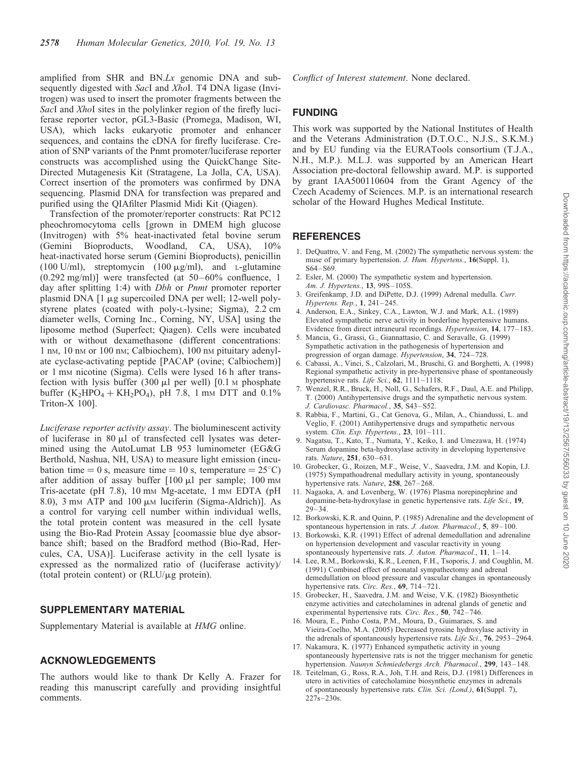<span id="page-11-0"></span>amplified from SHR and BN.Lx genomic DNA and subsequently digested with SacI and XhoI. T4 DNA ligase (Invitrogen) was used to insert the promoter fragments between the SacI and XhoI sites in the polylinker region of the firefly luciferase reporter vector, pGL3-Basic (Promega, Madison, WI, USA), which lacks eukaryotic promoter and enhancer sequences, and contains the cDNA for firefly luciferase. Creation of SNP variants of the Pnmt promoter/luciferase reporter constructs was accomplished using the QuickChange Site-Directed Mutagenesis Kit (Stratagene, La Jolla, CA, USA). Correct insertion of the promoters was confirmed by DNA sequencing. Plasmid DNA for transfection was prepared and purified using the QIAfilter Plasmid Midi Kit (Qiagen).

Transfection of the promoter/reporter constructs: Rat PC12 pheochromocytoma cells [grown in DMEM high glucose (Invitrogen) with 5% heat-inactivated fetal bovine serum (Gemini Bioproducts, Woodland, CA, USA), 10% heat-inactivated horse serum (Gemini Bioproducts), penicillin (100 U/ml), streptomycin (100  $\mu$ g/ml), and L-glutamine  $(0.292 \text{ mg/ml})$ ] were transfected (at  $50-60\%$  confluence, 1 day after splitting 1:4) with *Dbh* or *Pnmt* promoter reporter plasmid DNA [1 µg supercoiled DNA per well; 12-well polystyrene plates (coated with poly-L-lysine; Sigma), 2.2 cm diameter wells, Corning Inc., Corning, NY, USA] using the liposome method (Superfect; Qiagen). Cells were incubated with or without dexamethasone (different concentrations: 1 nm, 10 nm or 100 nm; Calbiochem), 100 nm pituitary adenylate cyclase-activating peptide [PACAP (ovine; Calbiochem)] or 1 mM nicotine (Sigma). Cells were lysed 16 h after transfection with lysis buffer  $(300 \mu l \text{ per well})$  [0.1 M phosphate buffer  $(K_2HPO_4 + KH_2PO_4)$ , pH 7.8, 1 mm DTT and 0.1% Triton-X 100].

Luciferase reporter activity assay. The bioluminescent activity of luciferase in 80  $\mu$ l of transfected cell lysates was determined using the AutoLumat LB 953 luminometer (EG&G Berthold, Nashua, NH, USA) to measure light emission (incubation time  $= 0$  s, measure time  $= 10$  s, temperature  $= 25^{\circ}$ C) after addition of assay buffer  $[100 \mu]$  per sample; 100 mm Tris-acetate (pH 7.8), 10 mm Mg-acetate, 1 mm EDTA (pH 8.0), 3 mm ATP and 100  $\mu$ m luciferin (Sigma-Aldrich)]. As a control for varying cell number within individual wells, the total protein content was measured in the cell lysate using the Bio-Rad Protein Assay [coomassie blue dye absorbance shift; based on the Bradford method (Bio-Rad, Hercules, CA, USA)]. Luciferase activity in the cell lysate is expressed as the normalized ratio of (luciferase activity)/ (total protein content) or (RLU/ $\mu$ g protein).

## SUPPLEMENTARY MATERIAL

[Supplementary Material is available at](http://hmg.oxfordjournals.org/cgi/content/full/ddq135/DC1) HMG online.

## ACKNOWLEDGEMENTS

The authors would like to thank Dr Kelly A. Frazer for reading this manuscript carefully and providing insightful comments.

Conflict of Interest statement. None declared.

## **FUNDING**

This work was supported by the National Institutes of Health and the Veterans Administration (D.T.O.C., N.J.S., S.K.M.) and by EU funding via the EURATools consortium (T.J.A., N.H., M.P.). M.L.J. was supported by an American Heart Association pre-doctoral fellowship award. M.P. is supported by grant IAA500110604 from the Grant Agency of the Czech Academy of Sciences. M.P. is an international research scholar of the Howard Hughes Medical Institute.

## REFERENCES

- 1. DeQuattro, V. and Feng, M. (2002) The sympathetic nervous system: the muse of primary hypertension. J. Hum. Hypertens., 16(Suppl. 1), S64–S69.
- 2. Esler, M. (2000) The sympathetic system and hypertension. Am. J. Hypertens., 13, 99S–105S.
- 3. Greifenkamp, J.D. and DiPette, D.J. (1999) Adrenal medulla. Curr. Hypertens. Rep., 1, 241–245.
- 4. Anderson, E.A., Sinkey, C.A., Lawton, W.J. and Mark, A.L. (1989) Elevated sympathetic nerve activity in borderline hypertensive humans. Evidence from direct intraneural recordings. Hypertension, 14, 177–183.
- 5. Mancia, G., Grassi, G., Giannattasio, C. and Seravalle, G. (1999) Sympathetic activation in the pathogenesis of hypertension and progression of organ damage. Hypertension, 34, 724-728.
- 6. Cabassi, A., Vinci, S., Calzolari, M., Bruschi, G. and Borghetti, A. (1998) Regional sympathetic activity in pre-hypertensive phase of spontaneously hypertensive rats. Life Sci., 62, 1111-1118.
- 7. Wenzel, R.R., Bruck, H., Noll, G., Schafers, R.F., Daul, A.E. and Philipp, T. (2000) Antihypertensive drugs and the sympathetic nervous system. J. Cardiovasc. Pharmacol., 35, S43–S52.
- 8. Rabbia, F., Martini, G., Cat Genova, G., Milan, A., Chiandussi, L. and Veglio, F. (2001) Antihypertensive drugs and sympathetic nervous system. Clin. Exp. Hypertens., 23, 101-111.
- 9. Nagatsu, T., Kato, T., Numata, Y., Keiko, I. and Umezawa, H. (1974) Serum dopamine beta-hydroxylase activity in developing hypertensive rats. Nature, 251, 630–631.
- 10. Grobecker, G., Roizen, M.F., Weise, V., Saavedra, J.M. and Kopin, I.J. (1975) Sympathoadrenal medullary activity in young, spontaneously hypertensive rats. Nature, 258, 267-268.
- 11. Nagaoka, A. and Lovenberg, W. (1976) Plasma norepinephrine and dopamine-beta-hydroxylase in genetic hypertensive rats. Life Sci., 19, 29–34.
- 12. Borkowski, K.R. and Quinn, P. (1985) Adrenaline and the development of spontaneous hypertension in rats. J. Auton. Pharmacol., 5, 89-100.
- 13. Borkowski, K.R. (1991) Effect of adrenal demedullation and adrenaline on hypertension development and vascular reactivity in young spontaneously hypertensive rats. J. Auton. Pharmacol., 11, 1-14.
- 14. Lee, R.M., Borkowski, K.R., Leenen, F.H., Tsoporis, J. and Coughlin, M. (1991) Combined effect of neonatal sympathectomy and adrenal demedullation on blood pressure and vascular changes in spontaneously hypertensive rats. Circ. Res., 69, 714-721.
- 15. Grobecker, H., Saavedra, J.M. and Weise, V.K. (1982) Biosynthetic enzyme activities and catecholamines in adrenal glands of genetic and experimental hypertensive rats. Circ. Res., 50, 742–746.
- 16. Moura, E., Pinho Costa, P.M., Moura, D., Guimaraes, S. and Vieira-Coelho, M.A. (2005) Decreased tyrosine hydroxylase activity in the adrenals of spontaneously hypertensive rats. Life Sci., 76, 2953-2964.
- 17. Nakamura, K. (1977) Enhanced sympathetic activity in young spontaneously hypertensive rats is not the trigger mechanism for genetic hypertension. Naunyn Schmiedebergs Arch. Pharmacol., 299, 143–148.
- 18. Teitelman, G., Ross, R.A., Joh, T.H. and Reis, D.J. (1981) Differences in utero in activities of catecholamine biosynthetic enzymes in adrenals of spontaneously hypertensive rats. Clin. Sci. (Lond.), 61(Suppl. 7), 227s–230s.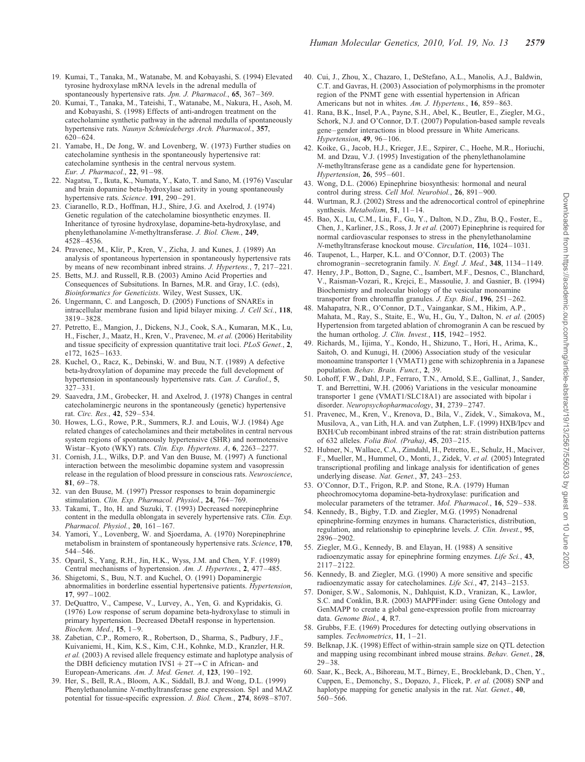- <span id="page-12-0"></span>19. Kumai, T., Tanaka, M., Watanabe, M. and Kobayashi, S. (1994) Elevated tyrosine hydroxylase mRNA levels in the adrenal medulla of spontaneously hypertensive rats. Jpn. J. Pharmacol., 65, 367–369.
- 20. Kumai, T., Tanaka, M., Tateishi, T., Watanabe, M., Nakura, H., Asoh, M. and Kobayashi, S. (1998) Effects of anti-androgen treatment on the catecholamine synthetic pathway in the adrenal medulla of spontaneously hypertensive rats. Naunyn Schmiedebergs Arch. Pharmacol., 357, 620–624.
- 21. Yamabe, H., De Jong, W. and Lovenberg, W. (1973) Further studies on catecholamine synthesis in the spontaneously hypertensive rat: catecholamine synthesis in the central nervous system. Eur. J. Pharmacol., 22, 91–98.
- 22. Nagatsu, T., Ikuta, K., Numata, Y., Kato, T. and Sano, M. (1976) Vascular and brain dopamine beta-hydroxylase activity in young spontaneously hypertensive rats. Science. 191, 290-291.
- 23. Ciaranello, R.D., Hoffman, H.J., Shire, J.G. and Axelrod, J. (1974) Genetic regulation of the catecholamine biosynthetic enzymes. II. Inheritance of tyrosine hydroxylase, dopamine-beta-hydroxylase, and phenylethanolamine N-methyltransferase. J. Biol. Chem., 249, 4528–4536.
- 24. Pravenec, M., Klir, P., Kren, V., Zicha, J. and Kunes, J. (1989) An analysis of spontaneous hypertension in spontaneously hypertensive rats by means of new recombinant inbred strains. J. Hypertens., 7, 217–221.
- 25. Betts, M.J. and Russell, R.B. (2003) Amino Acid Properties and Consequences of Subsitutions. In Barnes, M.R. and Gray, I.C. (eds), Bioinformatics for Geneticists. Wiley, West Sussex, UK.
- 26. Ungermann, C. and Langosch, D. (2005) Functions of SNAREs in intracellular membrane fusion and lipid bilayer mixing. J. Cell Sci., 118, 3819–3828.
- 27. Petretto, E., Mangion, J., Dickens, N.J., Cook, S.A., Kumaran, M.K., Lu, H., Fischer, J., Maatz, H., Kren, V., Pravenec, M. et al. (2006) Heritability and tissue specificity of expression quantitative trait loci. PLoS Genet., 2, e172, 1625–1633.
- 28. Kuchel, O., Racz, K., Debinski, W. and Buu, N.T. (1989) A defective beta-hydroxylation of dopamine may precede the full development of hypertension in spontaneously hypertensive rats. Can. J. Cardiol., 5, 327–331.
- 29. Saavedra, J.M., Grobecker, H. and Axelrod, J. (1978) Changes in central catecholaminergic neurons in the spontaneously (genetic) hypertensive rat. Circ. Res., 42, 529–534.
- 30. Howes, L.G., Rowe, P.R., Summers, R.J. and Louis, W.J. (1984) Age related changes of catecholamines and their metabolites in central nervous system regions of spontaneously hypertensive (SHR) and normotensive Wistar–Kyoto (WKY) rats. Clin. Exp. Hypertens. A, 6, 2263–2277.
- 31. Cornish, J.L., Wilks, D.P. and Van den Buuse, M. (1997) A functional interaction between the mesolimbic dopamine system and vasopressin release in the regulation of blood pressure in conscious rats. Neuroscience, 81, 69–78.
- 32. van den Buuse, M. (1997) Pressor responses to brain dopaminergic stimulation. Clin. Exp. Pharmacol. Physiol., 24, 764-769.
- 33. Takami, T., Ito, H. and Suzuki, T. (1993) Decreased norepinephrine content in the medulla oblongata in severely hypertensive rats. Clin. Exp. Pharmacol. Physiol., 20, 161–167.
- 34. Yamori, Y., Lovenberg, W. and Sjoerdama, A. (1970) Norepinephrine metabolism in brainstem of spontaneously hypertensive rats. Science, 170, 544–546.
- 35. Oparil, S., Yang, R.H., Jin, H.K., Wyss, J.M. and Chen, Y.F. (1989) Central mechanisms of hypertension. Am. J. Hypertens., 2, 477–485.
- 36. Shigetomi, S., Buu, N.T. and Kuchel, O. (1991) Dopaminergic abnormalities in borderline essential hypertensive patients. Hypertension, 17, 997–1002.
- 37. DeQuattro, V., Campese, V., Lurvey, A., Yen, G. and Kypridakis, G. (1976) Low response of serum dopamine beta-hydroxylase to stimuli in primary hypertension. Decreased DbetaH response in hypertension. Biochem. Med., 15, 1–9.
- 38. Zabetian, C.P., Romero, R., Robertson, D., Sharma, S., Padbury, J.F., Kuivaniemi, H., Kim, K.S., Kim, C.H., Kohnke, M.D., Kranzler, H.R. et al. (2003) A revised allele frequency estimate and haplotype analysis of the DBH deficiency mutation IVS1 +  $2T \rightarrow C$  in African- and European-Americans. Am. J. Med. Genet. A, 123, 190–192.
- 39. Her, S., Bell, R.A., Bloom, A.K., Siddall, B.J. and Wong, D.L. (1999) Phenylethanolamine N-methyltransferase gene expression. Sp1 and MAZ potential for tissue-specific expression. J. Biol. Chem., 274, 8698–8707.
- 40. Cui, J., Zhou, X., Chazaro, I., DeStefano, A.L., Manolis, A.J., Baldwin, C.T. and Gavras, H. (2003) Association of polymorphisms in the promoter region of the PNMT gene with essential hypertension in African Americans but not in whites. Am. J. Hypertens., 16, 859-863.
- 41. Rana, B.K., Insel, P.A., Payne, S.H., Abel, K., Beutler, E., Ziegler, M.G., Schork, N.J. and O'Connor, D.T. (2007) Population-based sample reveals gene–gender interactions in blood pressure in White Americans. Hypertension, 49, 96–106.
- 42. Koike, G., Jacob, H.J., Krieger, J.E., Szpirer, C., Hoehe, M.R., Horiuchi, M. and Dzau, V.J. (1995) Investigation of the phenylethanolamine N-methyltransferase gene as a candidate gene for hypertension. Hypertension, 26, 595–601.
- 43. Wong, D.L. (2006) Epinephrine biosynthesis: hormonal and neural control during stress. Cell Mol. Neurobiol., 26, 891–900.
- 44. Wurtman, R.J. (2002) Stress and the adrenocortical control of epinephrine synthesis. Metabolism,  $51$ ,  $11-14$ .
- 45. Bao, X., Lu, C.M., Liu, F., Gu, Y., Dalton, N.D., Zhu, B.Q., Foster, E., Chen, J., Karliner, J.S., Ross, J. Jr et al. (2007) Epinephrine is required for normal cardiovascular responses to stress in the phenylethanolamine N-methyltransferase knockout mouse. Circulation, 116, 1024–1031.
- 46. Taupenot, L., Harper, K.L. and O'Connor, D.T. (2003) The chromogranin–secretogranin family. N. Engl. J. Med., 348, 1134–1149.
- 47. Henry, J.P., Botton, D., Sagne, C., Isambert, M.F., Desnos, C., Blanchard, V., Raisman-Vozari, R., Krejci, E., Massoulie, J. and Gasnier, B. (1994) Biochemistry and molecular biology of the vesicular monoamine transporter from chromaffin granules. J. Exp. Biol., 196, 251–262.
- 48. Mahapatra, N.R., O'Connor, D.T., Vaingankar, S.M., Hikim, A.P., Mahata, M., Ray, S., Staite, E., Wu, H., Gu, Y., Dalton, N. et al. (2005) Hypertension from targeted ablation of chromogranin A can be rescued by the human ortholog. J. Clin. Invest., 115, 1942–1952.
- 49. Richards, M., Iijima, Y., Kondo, H., Shizuno, T., Hori, H., Arima, K., Saitoh, O. and Kunugi, H. (2006) Association study of the vesicular monoamine transporter 1 (VMAT1) gene with schizophrenia in a Japanese population. Behav. Brain. Funct., 2, 39.
- 50. Lohoff, F.W., Dahl, J.P., Ferraro, T.N., Arnold, S.E., Gallinat, J., Sander, T. and Berrettini, W.H. (2006) Variations in the vesicular monoamine transporter 1 gene (VMAT1/SLC18A1) are associated with bipolar i disorder. Neuropsychopharmacology, 31, 2739–2747.
- 51. Pravenec, M., Kren, V., Krenova, D., Bila, V., Zidek, V., Simakova, M., Musilova, A., van Lith, H.A. and van Zutphen, L.F. (1999) HXB/Ipcv and BXH/Cub recombinant inbred strains of the rat: strain distribution patterns of 632 alleles. Folia Biol. (Praha), 45, 203–215.
- 52. Hubner, N., Wallace, C.A., Zimdahl, H., Petretto, E., Schulz, H., Maciver, F., Mueller, M., Hummel, O., Monti, J., Zidek, V. et al. (2005) Integrated transcriptional profiling and linkage analysis for identification of genes underlying disease. Nat. Genet., 37, 243–253.
- 53. O'Connor, D.T., Frigon, R.P. and Stone, R.A. (1979) Human pheochromocytoma dopamine-beta-hydroxylase: purification and molecular parameters of the tetramer. Mol. Pharmacol., 16, 529–538.
- 54. Kennedy, B., Bigby, T.D. and Ziegler, M.G. (1995) Nonadrenal epinephrine-forming enzymes in humans. Characteristics, distribution, regulation, and relationship to epinephrine levels. J. Clin. Invest., 95, 2896–2902.
- 55. Ziegler, M.G., Kennedy, B. and Elayan, H. (1988) A sensitive radioenzymatic assay for epinephrine forming enzymes. Life Sci., 43, 2117–2122.
- 56. Kennedy, B. and Ziegler, M.G. (1990) A more sensitive and specific radioenzymatic assay for catecholamines. Life Sci., 47, 2143–2153.
- 57. Doniger, S.W., Salomonis, N., Dahlquist, K.D., Vranizan, K., Lawlor, S.C. and Conklin, B.R. (2003) MAPPFinder: using Gene Ontology and GenMAPP to create a global gene-expression profile from microarray data. Genome Biol., 4, R7.
- 58. Grubbs, F.E. (1969) Procedures for detecting outlying observations in samples. Technometrics, 11, 1-21.
- 59. Belknap, J.K. (1998) Effect of within-strain sample size on QTL detection and mapping using recombinant inbred mouse strains. Behav. Genet., 28, 29–38.
- 60. Saar, K., Beck, A., Bihoreau, M.T., Birney, E., Brocklebank, D., Chen, Y., Cuppen, E., Demonchy, S., Dopazo, J., Flicek, P. et al. (2008) SNP and haplotype mapping for genetic analysis in the rat. Nat. Genet., 40, 560–566.